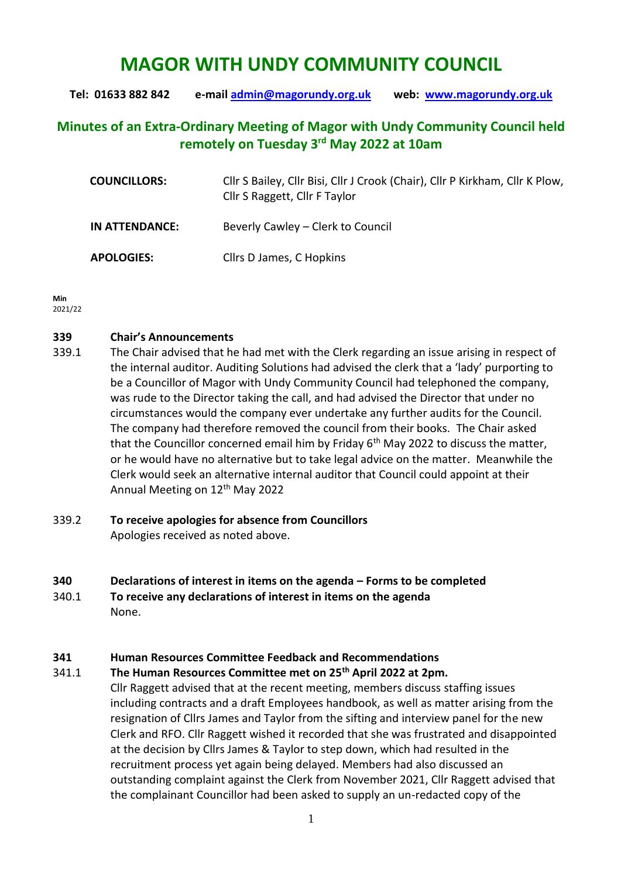# **MAGOR WITH UNDY COMMUNITY COUNCIL**

**Tel: 01633 882 842 e-mail [admin@magorundy.org.uk](mailto:admin@magorundy.org.uk) web: [www.magorundy.org.uk](http://www.magorundy.org.uk/)**

# **Minutes of an Extra-Ordinary Meeting of Magor with Undy Community Council held remotely on Tuesday 3 rd May 2022 at 10am**

| <b>COUNCILLORS:</b> | Cllr S Bailey, Cllr Bisi, Cllr J Crook (Chair), Cllr P Kirkham, Cllr K Plow,<br>Cllr S Raggett, Cllr F Taylor |
|---------------------|---------------------------------------------------------------------------------------------------------------|
| IN ATTENDANCE:      | Beverly Cawley – Clerk to Council                                                                             |
| <b>APOLOGIES:</b>   | Cllrs D James, C Hopkins                                                                                      |

**Min**  2021/22

# **339 Chair's Announcements**

- 339.1 The Chair advised that he had met with the Clerk regarding an issue arising in respect of the internal auditor. Auditing Solutions had advised the clerk that a 'lady' purporting to be a Councillor of Magor with Undy Community Council had telephoned the company, was rude to the Director taking the call, and had advised the Director that under no circumstances would the company ever undertake any further audits for the Council. The company had therefore removed the council from their books. The Chair asked that the Councillor concerned email him by Friday  $6<sup>th</sup>$  May 2022 to discuss the matter, or he would have no alternative but to take legal advice on the matter. Meanwhile the Clerk would seek an alternative internal auditor that Council could appoint at their Annual Meeting on 12<sup>th</sup> May 2022
- 339.2 **To receive apologies for absence from Councillors** Apologies received as noted above.

### **340 Declarations of interest in items on the agenda – Forms to be completed**

- 340.1 **To receive any declarations of interest in items on the agenda**
- None.

# **341 Human Resources Committee Feedback and Recommendations**

341.1 **The Human Resources Committee met on 25th April 2022 at 2pm.**

Cllr Raggett advised that at the recent meeting, members discuss staffing issues including contracts and a draft Employees handbook, as well as matter arising from the resignation of Cllrs James and Taylor from the sifting and interview panel for the new Clerk and RFO. Cllr Raggett wished it recorded that she was frustrated and disappointed at the decision by Cllrs James & Taylor to step down, which had resulted in the recruitment process yet again being delayed. Members had also discussed an outstanding complaint against the Clerk from November 2021, Cllr Raggett advised that the complainant Councillor had been asked to supply an un-redacted copy of the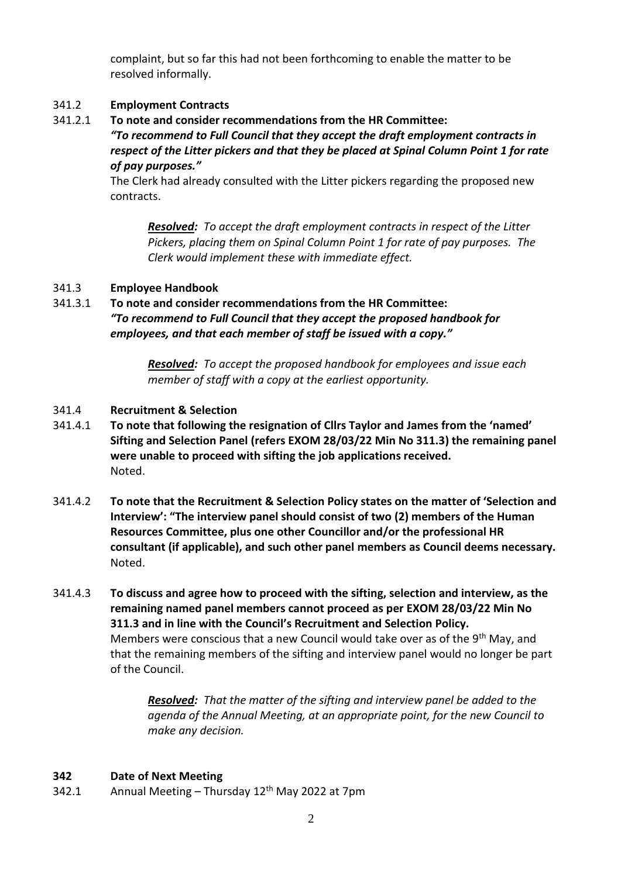complaint, but so far this had not been forthcoming to enable the matter to be resolved informally.

# 341.2 **Employment Contracts**

341.2.1 **To note and consider recommendations from the HR Committee:**

*"To recommend to Full Council that they accept the draft employment contracts in respect of the Litter pickers and that they be placed at Spinal Column Point 1 for rate of pay purposes."*

The Clerk had already consulted with the Litter pickers regarding the proposed new contracts.

*Resolved: To accept the draft employment contracts in respect of the Litter Pickers, placing them on Spinal Column Point 1 for rate of pay purposes. The Clerk would implement these with immediate effect.*

# 341.3 **Employee Handbook**

341.3.1 **To note and consider recommendations from the HR Committee:** *"To recommend to Full Council that they accept the proposed handbook for employees, and that each member of staff be issued with a copy."*

> *Resolved: To accept the proposed handbook for employees and issue each member of staff with a copy at the earliest opportunity.*

### 341.4 **Recruitment & Selection**

- 341.4.1 **To note that following the resignation of Cllrs Taylor and James from the 'named' Sifting and Selection Panel (refers EXOM 28/03/22 Min No 311.3) the remaining panel were unable to proceed with sifting the job applications received.** Noted.
- 341.4.2 **To note that the Recruitment & Selection Policy states on the matter of 'Selection and Interview': "The interview panel should consist of two (2) members of the Human Resources Committee, plus one other Councillor and/or the professional HR consultant (if applicable), and such other panel members as Council deems necessary.** Noted.
- 341.4.3 **To discuss and agree how to proceed with the sifting, selection and interview, as the remaining named panel members cannot proceed as per EXOM 28/03/22 Min No 311.3 and in line with the Council's Recruitment and Selection Policy.** Members were conscious that a new Council would take over as of the 9<sup>th</sup> May, and that the remaining members of the sifting and interview panel would no longer be part of the Council.

*Resolved: That the matter of the sifting and interview panel be added to the agenda of the Annual Meeting, at an appropriate point, for the new Council to make any decision.*

### **342 Date of Next Meeting**

342.1 Annual Meeting – Thursday  $12<sup>th</sup>$  May 2022 at 7pm